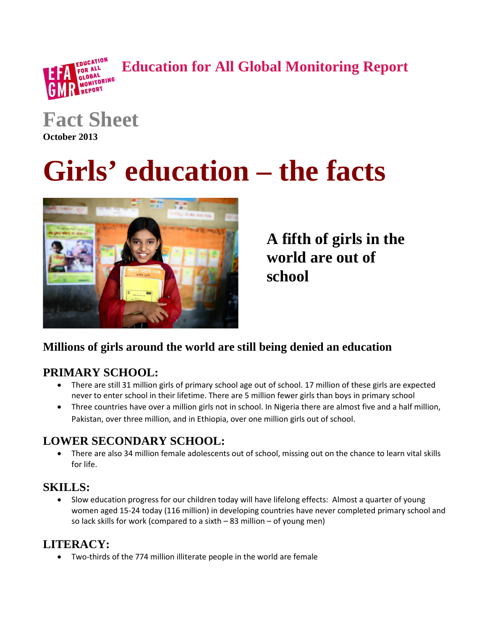**Education for All Global Monitoring Report**



**Fact Sheet**

**October 2013**

# **Girls' education – the facts**



**A fifth of girls in the world are out of school**

# **Millions of girls around the world are still being denied an education**

# **PRIMARY SCHOOL:**

- There are still 31 million girls of primary school age out of school. 17 million of these girls are expected never to enter school in their lifetime. There are 5 million fewer girls than boys in primary school
- Three countries have over a million girls not in school. In Nigeria there are almost five and a half million, Pakistan, over three million, and in Ethiopia, over one million girls out of school.

### **LOWER SECONDARY SCHOOL:**

• There are also 34 million female adolescents out of school, missing out on the chance to learn vital skills for life.

# **SKILLS:**

• Slow education progress for our children today will have lifelong effects: Almost a quarter of young women aged 15-24 today (116 million) in developing countries have never completed primary school and so lack skills for work (compared to a sixth – 83 million – of young men)

# **LITERACY:**

• Two-thirds of the 774 million illiterate people in the world are female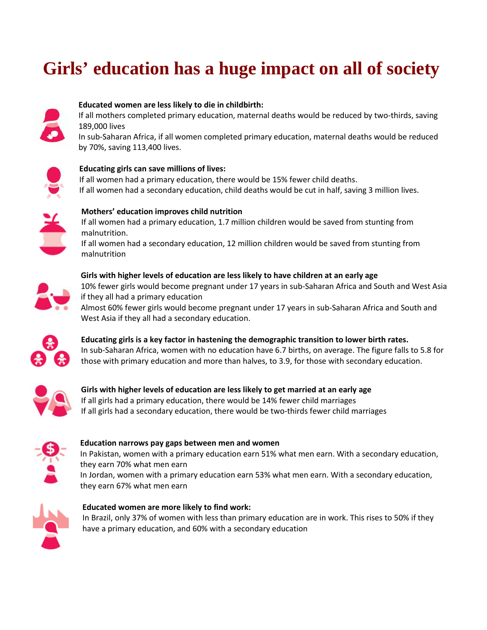# **Girls' education has a huge impact on all of society**



#### **Educated women are less likely to die in childbirth:**

If all mothers completed primary education, maternal deaths would be reduced by two-thirds, saving 189,000 lives

In sub-Saharan Africa, if all women completed primary education, maternal deaths would be reduced by 70%, saving 113,400 lives.



#### **Educating girls can save millions of lives:**

If all women had a primary education, there would be 15% fewer child deaths. If all women had a secondary education, child deaths would be cut in half, saving 3 million lives.



**Mothers' education improves child nutrition** If all women had a primary education, 1.7 million children would be saved from stunting from

malnutrition. If all women had a secondary education, 12 million children would be saved from stunting from malnutrition



#### **Girls with higher levels of education are less likely to have children at an early age** 10% fewer girls would become pregnant under 17 years in sub-Saharan Africa and South and West Asia if they all had a primary education

Almost 60% fewer girls would become pregnant under 17 years in sub-Saharan Africa and South and West Asia if they all had a secondary education.



**Educating girls is a key factor in hastening the demographic transition to lower birth rates.**  In sub-Saharan Africa, women with no education have 6.7 births, on average. The figure falls to 5.8 for those with primary education and more than halves, to 3.9, for those with secondary education.



**Girls with higher levels of education are less likely to get married at an early age** If all girls had a primary education, there would be 14% fewer child marriages If all girls had a secondary education, there would be two-thirds fewer child marriages



#### **Education narrows pay gaps between men and women**

In Pakistan, women with a primary education earn 51% what men earn. With a secondary education, they earn 70% what men earn

In Jordan, women with a primary education earn 53% what men earn. With a secondary education, they earn 67% what men earn



#### **Educated women are more likely to find work:** In Brazil, only 37% of women with less than primary education are in work. This rises to 50% if they have a primary education, and 60% with a secondary education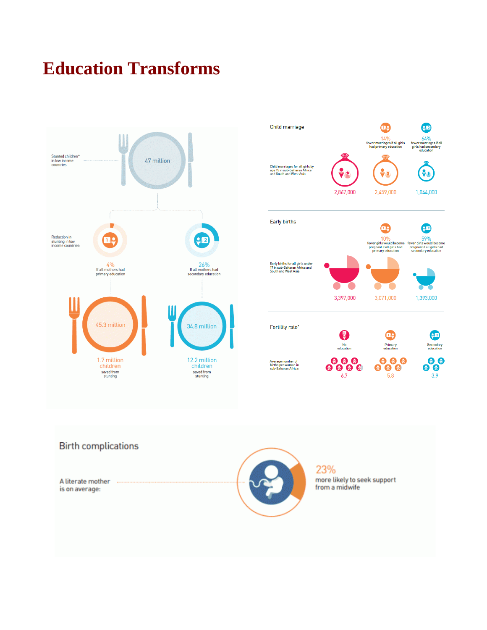# **Education Transforms**